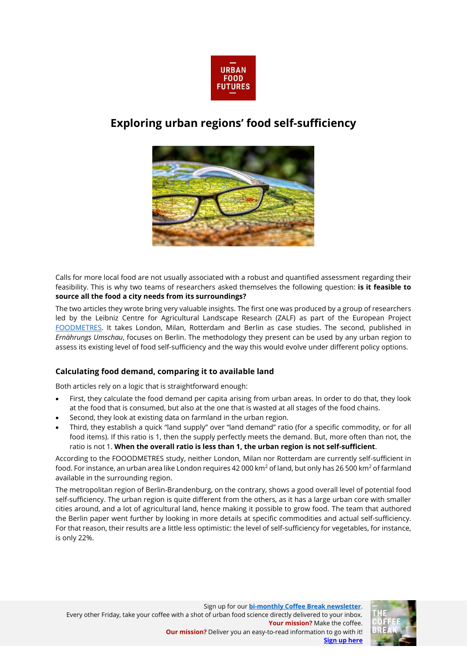

# **Exploring urban regions' food self-sufficiency**



Calls for more local food are not usually associated with a robust and quantified assessment regarding their feasibility. This is why two teams of researchers asked themselves the following question: **is it feasible to source all the food a city needs from its surroundings?** 

The two articles they wrote bring very valuable insights. The first one was produced by a group of researchers led by the Leibniz Centre for Agricultural Landscape Research (ZALF) as part of the European Project [FOODMETRES.](http://www.foodmetres.eu/) It takes London, Milan, Rotterdam and Berlin as case studies. The second, published in *Ernährungs Umschau*, focuses on Berlin. The methodology they present can be used by any urban region to assess its existing level of food self-sufficiency and the way this would evolve under different policy options.

## **Calculating food demand, comparing it to available land**

Both articles rely on a logic that is straightforward enough:

- First, they calculate the food demand per capita arising from urban areas. In order to do that, they look at the food that is consumed, but also at the one that is wasted at all stages of the food chains.
- Second, they look at existing data on farmland in the urban region.
- Third, they establish a quick "land supply" over "land demand" ratio (for a specific commodity, or for all food items). If this ratio is 1, then the supply perfectly meets the demand. But, more often than not, the ratio is not 1. **When the overall ratio is less than 1, the urban region is not self-sufficient**.

According to the FOOODMETRES study, neither London, Milan nor Rotterdam are currently self-sufficient in food. For instance, an urban area like London requires 42 000 km<sup>2</sup> of land, but only has 26 500 km<sup>2</sup> of farmland available in the surrounding region.

The metropolitan region of Berlin-Brandenburg, on the contrary, shows a good overall level of potential food self-sufficiency. The urban region is quite different from the others, as it has a large urban core with smaller cities around, and a lot of agricultural land, hence making it possible to grow food. The team that authored the Berlin paper went further by looking in more details at specific commodities and actual self-sufficiency. For that reason, their results are a little less optimistic: the level of self-sufficiency for vegetables, for instance, is only 22%.

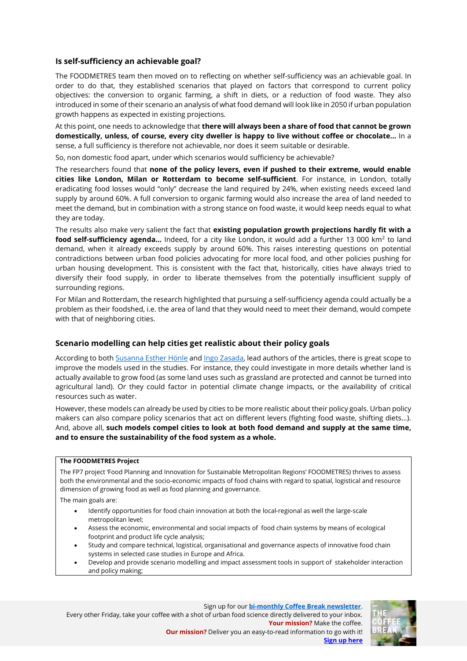### **Is self-sufficiency an achievable goal?**

The FOODMETRES team then moved on to reflecting on whether self-sufficiency was an achievable goal. In order to do that, they established scenarios that played on factors that correspond to current policy objectives: the conversion to organic farming, a shift in diets, or a reduction of food waste. They also introduced in some of their scenario an analysis of what food demand will look like in 2050 if urban population growth happens as expected in existing projections.

At this point, one needs to acknowledge that **there will always been a share of food that cannot be grown domestically, unless, of course, every city dweller is happy to live without coffee or chocolate…** In a sense, a full sufficiency is therefore not achievable, nor does it seem suitable or desirable.

So, non domestic food apart, under which scenarios would sufficiency be achievable?

The researchers found that **none of the policy levers, even if pushed to their extreme, would enable cities like London, Milan or Rotterdam to become self-sufficient**. For instance, in London, totally eradicating food losses would "only" decrease the land required by 24%, when existing needs exceed land supply by around 60%. A full conversion to organic farming would also increase the area of land needed to meet the demand, but in combination with a strong stance on food waste, it would keep needs equal to what they are today.

The results also make very salient the fact that **existing population growth projections hardly fit with a food self-sufficiency agenda...** Indeed, for a city like London, it would add a further 13 000 km<sup>2</sup> to land demand, when it already exceeds supply by around 60%. This raises interesting questions on potential contradictions between urban food policies advocating for more local food, and other policies pushing for urban housing development. This is consistent with the fact that, historically, cities have always tried to diversify their food supply, in order to liberate themselves from the potentially insufficient supply of surrounding regions.

For Milan and Rotterdam, the research highlighted that pursuing a self-sufficiency agenda could actually be a problem as their foodshed, i.e. the area of land that they would need to meet their demand, would compete with that of neighboring cities.

#### **Scenario modelling can help cities get realistic about their policy goals**

According to bot[h Susanna Esther Hönle](https://www.thuenen.de/en/lr/staff/scientific-staff/m-sc-susanna-hoenle/) and [Ingo Zasada,](https://www.researchgate.net/profile/Ingo_Zasada) lead authors of the articles, there is great scope to improve the models used in the studies. For instance, they could investigate in more details whether land is actually available to grow food (as some land uses such as grassland are protected and cannot be turned into agricultural land). Or they could factor in potential climate change impacts, or the availability of critical resources such as water.

However, these models can already be used by cities to be more realistic about their policy goals. Urban policy makers can also compare policy scenarios that act on different levers (fighting food waste, shifting diets…). And, above all, **such models compel cities to look at both food demand and supply at the same time, and to ensure the sustainability of the food system as a whole.** 

### **The FOODMETRES Project**

The FP7 project 'Food Planning and Innovation for Sustainable Metropolitan Regions' FOODMETRES) thrives to assess both the environmental and the socio-economic impacts of food chains with regard to spatial, logistical and resource dimension of growing food as well as food planning and governance.

The main goals are:

- Identify opportunities for food chain innovation at both the local-regional as well the large-scale metropolitan level;
- Assess the economic, environmental and social impacts of food chain systems by means of ecological footprint and product life cycle analysis;
- Study and compare technical, logistical, organisational and governance aspects of innovative food chain systems in selected case studies in Europe and Africa.
- Develop and provide scenario modelling and impact assessment tools in support of stakeholder interaction and policy making;